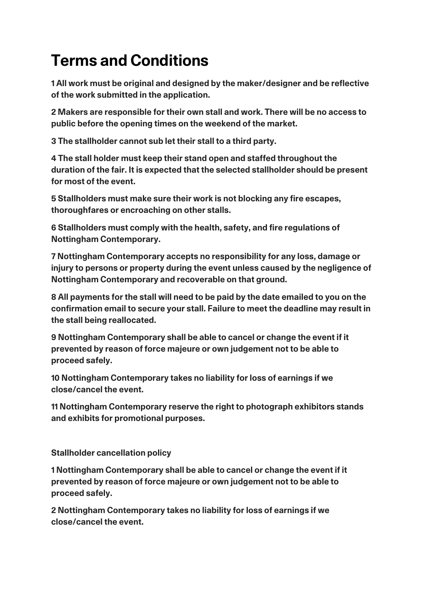## **Terms and Conditions**

**1 All work must be original and designed by the maker/designer and be reflective of the work submitted in the application.**

**2 Makers are responsible for their own stall and work. There will be no access to public before the opening times on the weekend of the market.**

**3 The stallholder cannot sub let their stall to a third party.**

**4 The stall holder must keep their stand open and staffed throughout the duration of the fair. It is expected that the selected stallholder should be present for most of the event.**

**5 Stallholders must make sure their work is not blocking any fire escapes, thoroughfares or encroaching on other stalls.**

**6 Stallholders must comply with the health, safety, and fire regulations of Nottingham Contemporary.** 

**7 Nottingham Contemporary accepts no responsibility for any loss, damage or injury to persons or property during the event unless caused by the negligence of Nottingham Contemporary and recoverable on that ground.**

**8 All payments for the stall will need to be paid by the date emailed to you on the confirmation email to secure your stall. Failure to meet the deadline may result in the stall being reallocated.**

**9 Nottingham Contemporary shall be able to cancel or change the event if it prevented by reason of force majeure or own judgement not to be able to proceed safely.**

**10 Nottingham Contemporary takes no liability for loss of earnings if we close/cancel the event.**

**11 Nottingham Contemporary reserve the right to photograph exhibitors stands and exhibits for promotional purposes.**

**Stallholder cancellation policy**

**1 Nottingham Contemporary shall be able to cancel or change the event if it prevented by reason of force majeure or own judgement not to be able to proceed safely.**

**2 Nottingham Contemporary takes no liability for loss of earnings if we close/cancel the event.**